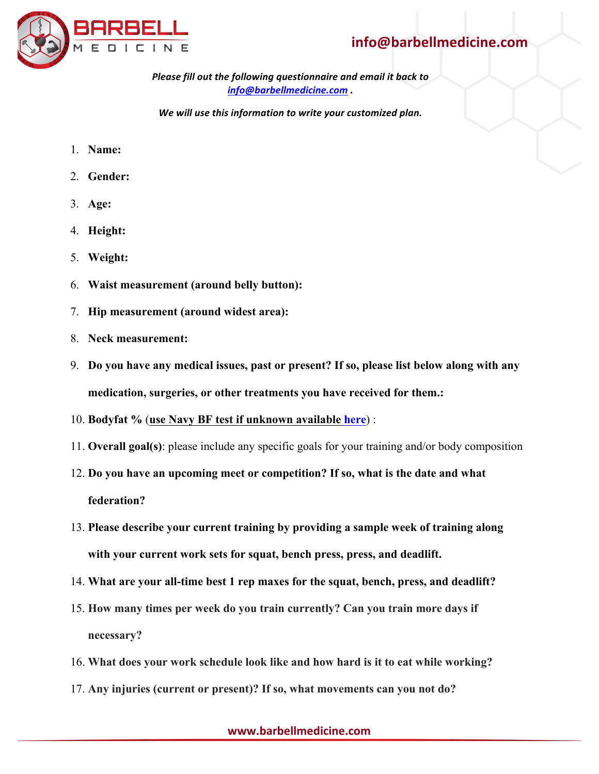

## **info@barbellmedicine.com**

*Please fill out the following questionnaire and email it back to info@barbellmedicine.com .* 

We will use this information to write your customized plan.

- 1. **Name:**
- 2. **Gender:**
- 3. **Age:**
- 4. **Height:**
- 5. **Weight:**
- 6. **Waist measurement (around belly button):**
- 7. **Hip measurement (around widest area):**
- 8. **Neck measurement:**
- 9. **Do you have any medical issues, past or present? If so, please list below along with any medication, surgeries, or other treatments you have received for them.:**
- 10. **Bodyfat %** (**use Navy BF test if unknown available here**) :
- 11. **Overall goal(s)**: please include any specific goals for your training and/or body composition
- 12. **Do you have an upcoming meet or competition? If so, what is the date and what federation?**
- 13. **Please describe your current training by providing a sample week of training along with your current work sets for squat, bench press, press, and deadlift.**
- 14. **What are your all-time best 1 rep maxes for the squat, bench, press, and deadlift?**
- 15. **How many times per week do you train currently? Can you train more days if necessary?**
- 16. **What does your work schedule look like and how hard is it to eat while working?**
- 17. **Any injuries (current or present)? If so, what movements can you not do?**